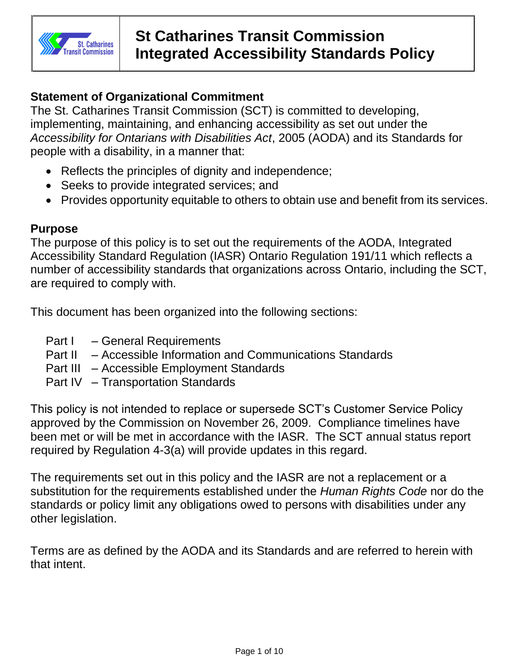

# **Statement of Organizational Commitment**

The St. Catharines Transit Commission (SCT) is committed to developing, implementing, maintaining, and enhancing accessibility as set out under the *Accessibility for Ontarians with Disabilities Act*, 2005 (AODA) and its Standards for people with a disability, in a manner that:

- Reflects the principles of dignity and independence;
- Seeks to provide integrated services; and
- Provides opportunity equitable to others to obtain use and benefit from its services.

## **Purpose**

The purpose of this policy is to set out the requirements of the AODA, Integrated Accessibility Standard Regulation (IASR) Ontario Regulation 191/11 which reflects a number of accessibility standards that organizations across Ontario, including the SCT, are required to comply with.

This document has been organized into the following sections:

- Part I General Requirements
- Part II Accessible Information and Communications Standards
- Part III Accessible Employment Standards
- Part IV Transportation Standards

This policy is not intended to replace or supersede SCT's Customer Service Policy approved by the Commission on November 26, 2009. Compliance timelines have been met or will be met in accordance with the IASR. The SCT annual status report required by Regulation 4-3(a) will provide updates in this regard.

The requirements set out in this policy and the IASR are not a replacement or a substitution for the requirements established under the *Human Rights Code* nor do the standards or policy limit any obligations owed to persons with disabilities under any other legislation.

Terms are as defined by the AODA and its Standards and are referred to herein with that intent.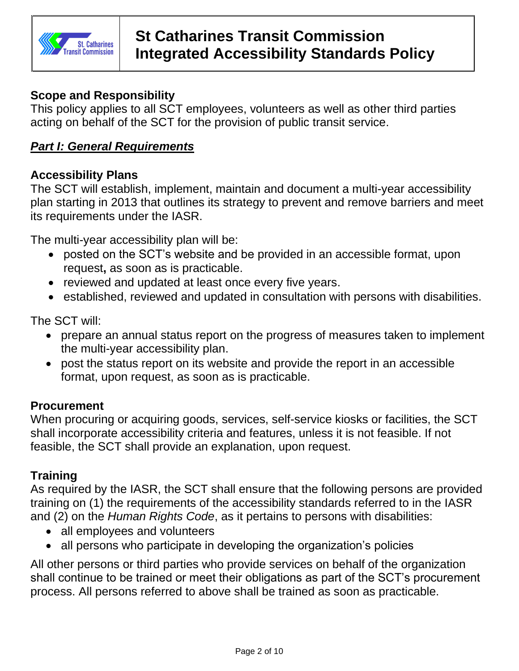

## **Scope and Responsibility**

This policy applies to all SCT employees, volunteers as well as other third parties acting on behalf of the SCT for the provision of public transit service.

## *Part I: General Requirements*

#### **Accessibility Plans**

The SCT will establish, implement, maintain and document a multi-year accessibility plan starting in 2013 that outlines its strategy to prevent and remove barriers and meet its requirements under the IASR.

The multi-year accessibility plan will be:

- posted on the SCT's website and be provided in an accessible format, upon request**,** as soon as is practicable.
- reviewed and updated at least once every five years.
- established, reviewed and updated in consultation with persons with disabilities.

The SCT will:

- prepare an annual status report on the progress of measures taken to implement the multi-year accessibility plan.
- post the status report on its website and provide the report in an accessible format, upon request, as soon as is practicable.

## **Procurement**

When procuring or acquiring goods, services, self-service kiosks or facilities, the SCT shall incorporate accessibility criteria and features, unless it is not feasible. If not feasible, the SCT shall provide an explanation, upon request.

## **Training**

As required by the IASR, the SCT shall ensure that the following persons are provided training on (1) the requirements of the accessibility standards referred to in the IASR and (2) on the *Human Rights Code*, as it pertains to persons with disabilities:

- all employees and volunteers
- all persons who participate in developing the organization's policies

All other persons or third parties who provide services on behalf of the organization shall continue to be trained or meet their obligations as part of the SCT's procurement process. All persons referred to above shall be trained as soon as practicable.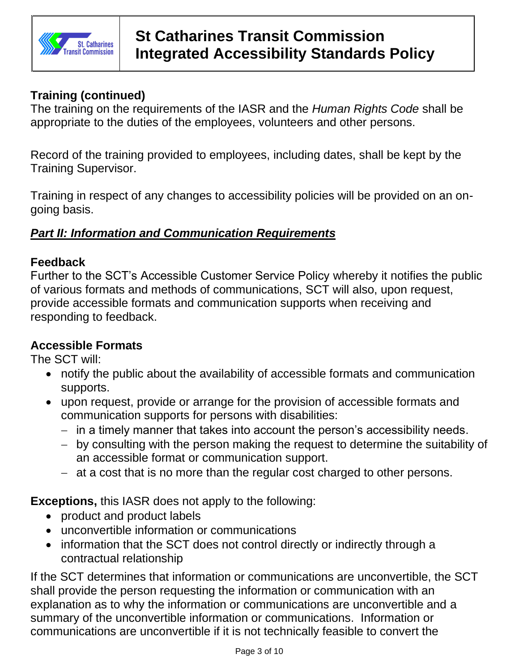

# **Training (continued)**

The training on the requirements of the IASR and the *Human Rights Code* shall be appropriate to the duties of the employees, volunteers and other persons.

Record of the training provided to employees, including dates, shall be kept by the Training Supervisor.

Training in respect of any changes to accessibility policies will be provided on an ongoing basis.

## *Part II: Information and Communication Requirements*

#### **Feedback**

Further to the SCT's Accessible Customer Service Policy whereby it notifies the public of various formats and methods of communications, SCT will also, upon request, provide accessible formats and communication supports when receiving and responding to feedback.

## **Accessible Formats**

The SCT will:

- notify the public about the availability of accessible formats and communication supports.
- upon request, provide or arrange for the provision of accessible formats and communication supports for persons with disabilities:
	- − in a timely manner that takes into account the person's accessibility needs.
	- − by consulting with the person making the request to determine the suitability of an accessible format or communication support.
	- − at a cost that is no more than the regular cost charged to other persons.

**Exceptions,** this IASR does not apply to the following:

- product and product labels
- unconvertible information or communications
- information that the SCT does not control directly or indirectly through a contractual relationship

If the SCT determines that information or communications are unconvertible, the SCT shall provide the person requesting the information or communication with an explanation as to why the information or communications are unconvertible and a summary of the unconvertible information or communications. Information or communications are unconvertible if it is not technically feasible to convert the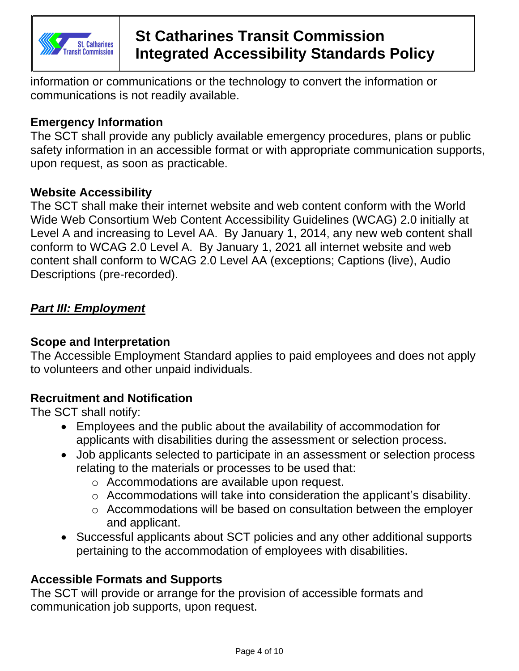

# **St Catharines Transit Commission Integrated Accessibility Standards Policy**

information or communications or the technology to convert the information or communications is not readily available.

## **Emergency Information**

The SCT shall provide any publicly available emergency procedures, plans or public safety information in an accessible format or with appropriate communication supports, upon request, as soon as practicable.

#### **Website Accessibility**

The SCT shall make their internet website and web content conform with the World Wide Web Consortium Web Content Accessibility Guidelines (WCAG) 2.0 initially at Level A and increasing to Level AA. By January 1, 2014, any new web content shall conform to WCAG 2.0 Level A. By January 1, 2021 all internet website and web content shall conform to WCAG 2.0 Level AA (exceptions; Captions (live), Audio Descriptions (pre-recorded).

## *Part III: Employment*

## **Scope and Interpretation**

The Accessible Employment Standard applies to paid employees and does not apply to volunteers and other unpaid individuals.

## **Recruitment and Notification**

The SCT shall notify:

- Employees and the public about the availability of accommodation for applicants with disabilities during the assessment or selection process.
- Job applicants selected to participate in an assessment or selection process relating to the materials or processes to be used that:
	- o Accommodations are available upon request.
	- o Accommodations will take into consideration the applicant's disability.
	- o Accommodations will be based on consultation between the employer and applicant.
- Successful applicants about SCT policies and any other additional supports pertaining to the accommodation of employees with disabilities.

## **Accessible Formats and Supports**

The SCT will provide or arrange for the provision of accessible formats and communication job supports, upon request.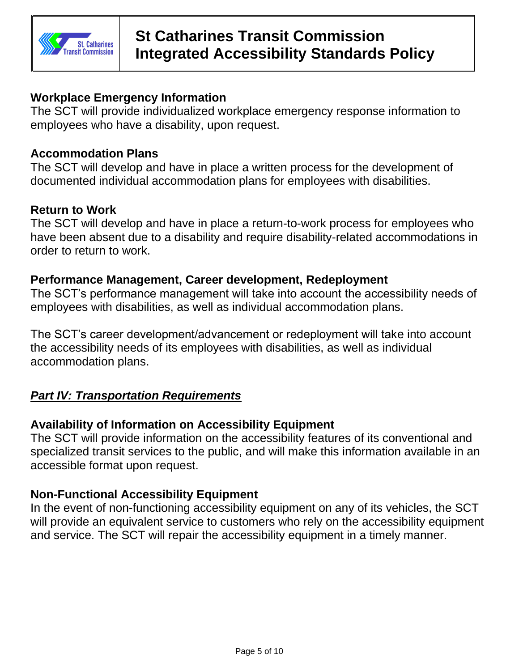

#### **Workplace Emergency Information**

The SCT will provide individualized workplace emergency response information to employees who have a disability, upon request.

#### **Accommodation Plans**

The SCT will develop and have in place a written process for the development of documented individual accommodation plans for employees with disabilities.

#### **Return to Work**

The SCT will develop and have in place a return-to-work process for employees who have been absent due to a disability and require disability-related accommodations in order to return to work.

#### **Performance Management, Career development, Redeployment**

The SCT's performance management will take into account the accessibility needs of employees with disabilities, as well as individual accommodation plans.

The SCT's career development/advancement or redeployment will take into account the accessibility needs of its employees with disabilities, as well as individual accommodation plans.

## *Part IV: Transportation Requirements*

## **Availability of Information on Accessibility Equipment**

The SCT will provide information on the accessibility features of its conventional and specialized transit services to the public, and will make this information available in an accessible format upon request.

## **Non-Functional Accessibility Equipment**

In the event of non-functioning accessibility equipment on any of its vehicles, the SCT will provide an equivalent service to customers who rely on the accessibility equipment and service. The SCT will repair the accessibility equipment in a timely manner.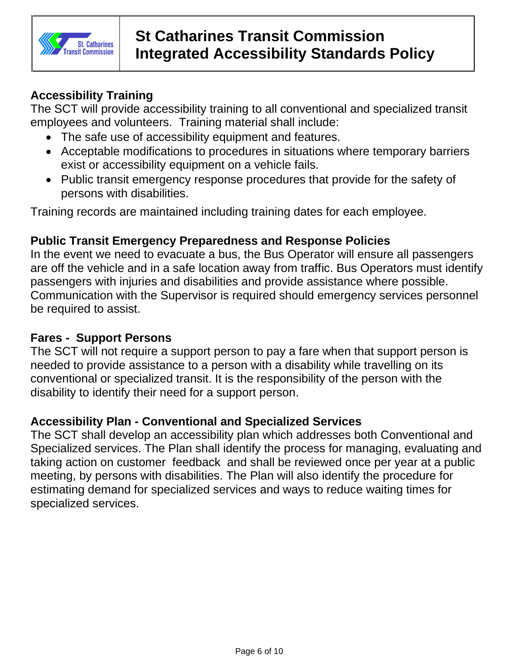

# **Accessibility Training**

The SCT will provide accessibility training to all conventional and specialized transit employees and volunteers. Training material shall include:

- The safe use of accessibility equipment and features.
- Acceptable modifications to procedures in situations where temporary barriers exist or accessibility equipment on a vehicle fails.
- Public transit emergency response procedures that provide for the safety of persons with disabilities.

Training records are maintained including training dates for each employee.

## **Public Transit Emergency Preparedness and Response Policies**

In the event we need to evacuate a bus, the Bus Operator will ensure all passengers are off the vehicle and in a safe location away from traffic. Bus Operators must identify passengers with injuries and disabilities and provide assistance where possible. Communication with the Supervisor is required should emergency services personnel be required to assist.

#### **Fares - Support Persons**

The SCT will not require a support person to pay a fare when that support person is needed to provide assistance to a person with a disability while travelling on its conventional or specialized transit. It is the responsibility of the person with the disability to identify their need for a support person.

#### **Accessibility Plan - Conventional and Specialized Services**

The SCT shall develop an accessibility plan which addresses both Conventional and Specialized services. The Plan shall identify the process for managing, evaluating and taking action on customer feedback and shall be reviewed once per year at a public meeting, by persons with disabilities. The Plan will also identify the procedure for estimating demand for specialized services and ways to reduce waiting times for specialized services.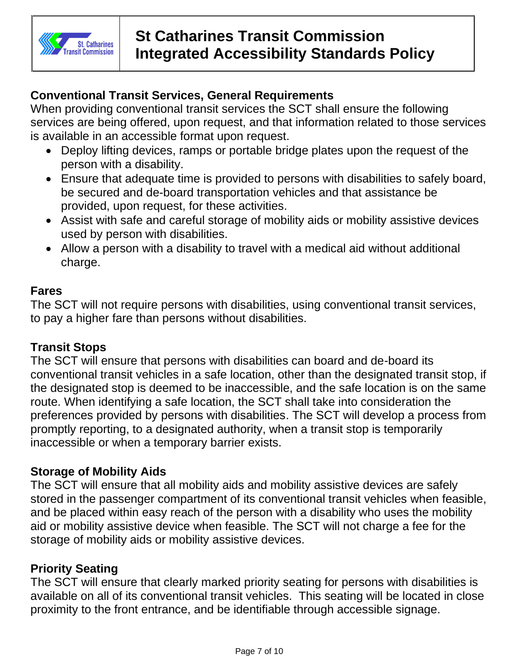

# **Conventional Transit Services, General Requirements**

When providing conventional transit services the SCT shall ensure the following services are being offered, upon request, and that information related to those services is available in an accessible format upon request.

- Deploy lifting devices, ramps or portable bridge plates upon the request of the person with a disability.
- Ensure that adequate time is provided to persons with disabilities to safely board, be secured and de-board transportation vehicles and that assistance be provided, upon request, for these activities.
- Assist with safe and careful storage of mobility aids or mobility assistive devices used by person with disabilities.
- Allow a person with a disability to travel with a medical aid without additional charge.

#### **Fares**

The SCT will not require persons with disabilities, using conventional transit services, to pay a higher fare than persons without disabilities.

## **Transit Stops**

The SCT will ensure that persons with disabilities can board and de-board its conventional transit vehicles in a safe location, other than the designated transit stop, if the designated stop is deemed to be inaccessible, and the safe location is on the same route. When identifying a safe location, the SCT shall take into consideration the preferences provided by persons with disabilities. The SCT will develop a process from promptly reporting, to a designated authority, when a transit stop is temporarily inaccessible or when a temporary barrier exists.

## **Storage of Mobility Aids**

The SCT will ensure that all mobility aids and mobility assistive devices are safely stored in the passenger compartment of its conventional transit vehicles when feasible, and be placed within easy reach of the person with a disability who uses the mobility aid or mobility assistive device when feasible. The SCT will not charge a fee for the storage of mobility aids or mobility assistive devices.

## **Priority Seating**

The SCT will ensure that clearly marked priority seating for persons with disabilities is available on all of its conventional transit vehicles. This seating will be located in close proximity to the front entrance, and be identifiable through accessible signage.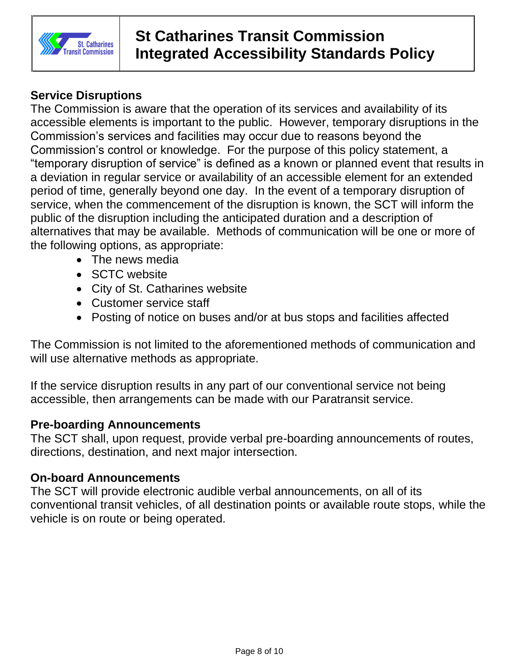

# **St Catharines Transit Commission Integrated Accessibility Standards Policy**

# **Service Disruptions**

The Commission is aware that the operation of its services and availability of its accessible elements is important to the public. However, temporary disruptions in the Commission's services and facilities may occur due to reasons beyond the Commission's control or knowledge. For the purpose of this policy statement, a "temporary disruption of service" is defined as a known or planned event that results in a deviation in regular service or availability of an accessible element for an extended period of time, generally beyond one day. In the event of a temporary disruption of service, when the commencement of the disruption is known, the SCT will inform the public of the disruption including the anticipated duration and a description of alternatives that may be available. Methods of communication will be one or more of the following options, as appropriate:

- The news media
- SCTC website
- City of St. Catharines website
- Customer service staff
- Posting of notice on buses and/or at bus stops and facilities affected

The Commission is not limited to the aforementioned methods of communication and will use alternative methods as appropriate.

If the service disruption results in any part of our conventional service not being accessible, then arrangements can be made with our Paratransit service.

## **Pre-boarding Announcements**

The SCT shall, upon request, provide verbal pre-boarding announcements of routes, directions, destination, and next major intersection.

## **On-board Announcements**

The SCT will provide electronic audible verbal announcements, on all of its conventional transit vehicles, of all destination points or available route stops, while the vehicle is on route or being operated.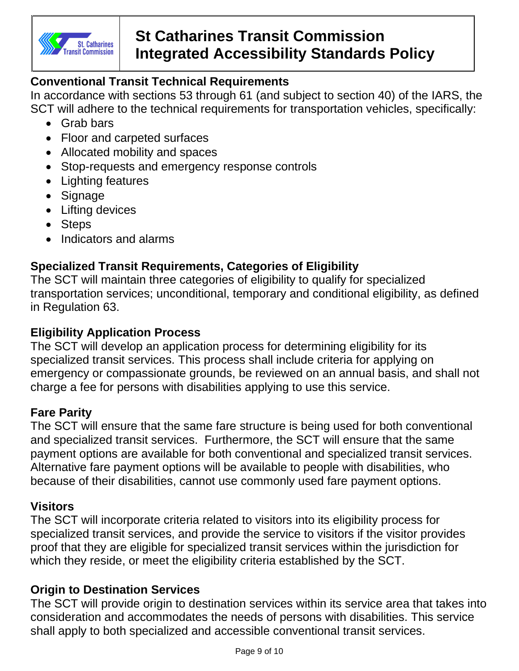

# **Conventional Transit Technical Requirements**

In accordance with sections 53 through 61 (and subject to section 40) of the IARS, the SCT will adhere to the technical requirements for transportation vehicles, specifically:

- - Grab bars
	- Floor and carpeted surfaces
	- Allocated mobility and spaces
	- Stop-requests and emergency response controls
	- Lighting features
	- Signage
	- Lifting devices
	- Steps
	- Indicators and alarms

# **Specialized Transit Requirements, Categories of Eligibility**

The SCT will maintain three categories of eligibility to qualify for specialized transportation services; unconditional, temporary and conditional eligibility, as defined in Regulation 63.

## **Eligibility Application Process**

The SCT will develop an application process for determining eligibility for its specialized transit services. This process shall include criteria for applying on emergency or compassionate grounds, be reviewed on an annual basis, and shall not charge a fee for persons with disabilities applying to use this service.

## **Fare Parity**

The SCT will ensure that the same fare structure is being used for both conventional and specialized transit services. Furthermore, the SCT will ensure that the same payment options are available for both conventional and specialized transit services. Alternative fare payment options will be available to people with disabilities, who because of their disabilities, cannot use commonly used fare payment options.

## **Visitors**

The SCT will incorporate criteria related to visitors into its eligibility process for specialized transit services, and provide the service to visitors if the visitor provides proof that they are eligible for specialized transit services within the jurisdiction for which they reside, or meet the eligibility criteria established by the SCT.

## **Origin to Destination Services**

The SCT will provide origin to destination services within its service area that takes into consideration and accommodates the needs of persons with disabilities. This service shall apply to both specialized and accessible conventional transit services.